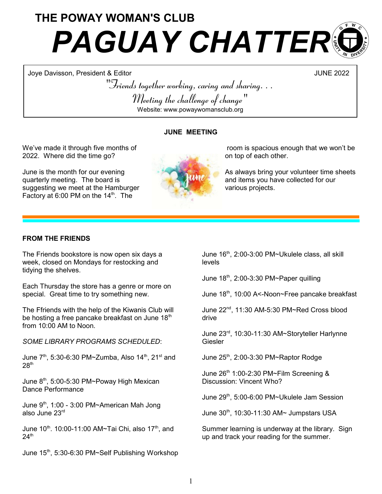# THE POWAY WOMAN'S CLUB **PAGUAY CHATTER®**

Joye Davisson, President & Editor JUNE 2022

"Friends together working, caring and sharing. . . Meeting the challenge of change" Website: www.powaywomansclub.org

## JUNE MEETING

We've made it through five months of 2022. Where did the time go?

June is the month for our evening quarterly meeting. The board is suggesting we meet at the Hamburger Factory at  $6:00$  PM on the  $14<sup>th</sup>$ . The



As always bring your volunteer time sheets and items you have collected for our various projects.

## FROM THE FRIENDS

The Friends bookstore is now open six days a week, closed on Mondays for restocking and tidying the shelves.

Each Thursday the store has a genre or more on special. Great time to try something new.

The Ffriends with the help of the Kiwanis Club will be hosting a free pancake breakfast on June  $18<sup>th</sup>$ from 10:00 AM to Noon.

SOME LIBRARY PROGRAMS SCHEDULED:

June  $7^{th}$ , 5:30-6:30 PM~Zumba, Also 14<sup>th</sup>, 21<sup>st</sup> and  $28<sup>th</sup>$ 

June 8<sup>th</sup>, 5:00-5:30 PM~Poway High Mexican Dance Performance

June 9<sup>th</sup>, 1:00 - 3:00 PM~American Mah Jong also June 23rd

June  $10^{th}$ . 10:00-11:00 AM~Tai Chi, also 17<sup>th</sup>, and  $24<sup>th</sup>$ 

June 15<sup>th</sup>, 5:30-6:30 PM~Self Publishing Workshop

June 16<sup>th</sup>, 2:00-3:00 PM~Ukulele class, all skill levels

June  $18<sup>th</sup>$ , 2:00-3:30 PM~Paper quilling

June 18<sup>th</sup>, 10:00 A<-Noon~Free pancake breakfast

June 22<sup>nd</sup>, 11:30 AM-5:30 PM~Red Cross blood drive

June 23<sup>rd</sup>, 10:30-11:30 AM~Storyteller Harlynne **Giesler** 

June 25<sup>th</sup>, 2:00-3:30 PM~Raptor Rodge

June 26<sup>th</sup> 1:00-2:30 PM~Film Screening & Discussion: Vincent Who?

June 29th, 5:00-6:00 PM~Ukulele Jam Session

June 30<sup>th</sup>, 10:30-11:30 AM~ Jumpstars USA

Summer learning is underway at the library. Sign up and track your reading for the summer.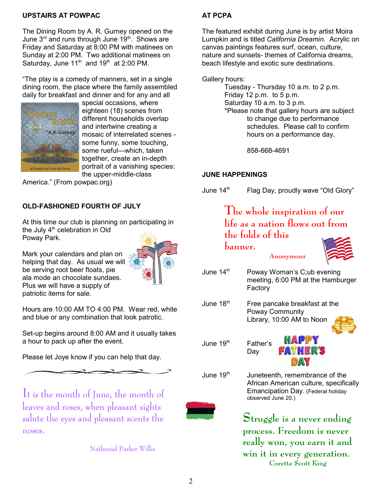### UPSTAIRS AT POWPAC

The Dining Room by A. R. Gurney opened on the June  $3<sup>rd</sup>$  and runs through June  $19<sup>th</sup>$ . Shows are Friday and Saturday at 8:00 PM with matinees on Sunday at 2:00 PM. Two additional matinees on Saturday, June  $11<sup>th</sup>$  and  $19<sup>th</sup>$  at 2:00 PM.

"The play is a comedy of manners, set in a single dining room, the place where the family assembled daily for breakfast and dinner and for any and all



special occasions, where eighteen (18) scenes from different households overlap and intertwine creating a mosaic of interrelated scenes some funny, some touching, some rueful—which, taken together, create an in-depth portrait of a vanishing species: the upper-middle-class

America." (From powpac.org)

## OLD-FASHIONED FOURTH OF JULY

At this time our club is planning on participating in the July  $4<sup>th</sup>$  celebration in Old Poway Park.





be serving root beer floats, pie ala mode an chocolate sundaes. Plus we will have a supply of patriotic items for sale.

Hours are 10:00 AM TO 4:00 PM. Wear red, white and blue or any combination that look patrotic.

Set-up begins around 8:00 AM and it usually takes a hour to pack up after the event.

Please let Joye know if you can help that day.

It is the month of June, the month of leaves and roses, when pleasant sights salute the eyes and pleasant scents the noses.

Nathaniel Parker Willis

## AT PCPA

The featured exhibit during June is by artist Moira Lumpkin and is titled California Dreamin. Acrylic on canvas paintings features surf, ocean, culture, nature and sunsets- themes of California dreams, beach lifestyle and exotic sure destinations.

Gallery hours:

Tuesday - Thursday 10 a.m. to 2 p.m. Friday 12 p.m. to 5 p.m. Saturday 10 a.m. to 3 p.m. \*Please note that gallery hours are subject to change due to performance schedules. Please call to confirm hours on a performance day.

858-668-4691

## JUNE HAPPENINGS

banner.

June  $14<sup>th</sup>$  Flag Day, proudly wave "Old Glory"

## The whole inspiration of our life as a nation flows out from the folds of this



Factory

June  $18<sup>th</sup>$  Free pancake breakfast at the Poway Community Library, 10:00 AM to Noon



June 19<sup>th</sup> Father's





June 19<sup>th</sup> Juneteenth, remembrance of the African American culture, specifically Emancipation Day. (Federal holiday observed June 20.)

> Struggle is a never ending process. Freedom is never really won, you earn it and win it in every generation. Coretta Scott King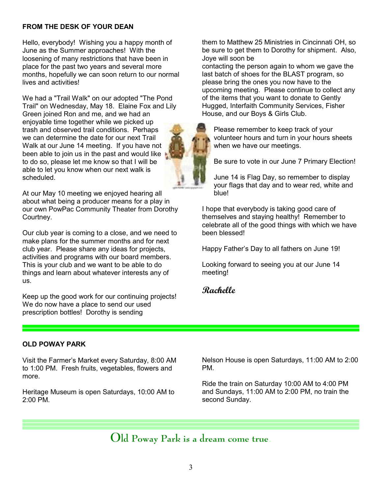## FROM THE DESK OF YOUR DEAN

Hello, everybody! Wishing you a happy month of June as the Summer approaches! With the loosening of many restrictions that have been in place for the past two years and several more months, hopefully we can soon return to our normal lives and activities!

We had a "Trail Walk" on our adopted "The Pond Trail" on Wednesday, May 18. Elaine Fox and Lily Green joined Ron and me, and we had an enjoyable time together while we picked up trash and observed trail conditions. Perhaps we can determine the date for our next Trail Walk at our June 14 meeting. If you have not been able to join us in the past and would like to do so, please let me know so that I will be able to let you know when our next walk is scheduled.

At our May 10 meeting we enjoyed hearing all about what being a producer means for a play in our own PowPac Community Theater from Dorothy Courtney.

Our club year is coming to a close, and we need to make plans for the summer months and for next club year. Please share any ideas for projects, activities and programs with our board members. This is your club and we want to be able to do things and learn about whatever interests any of us.

Keep up the good work for our continuing projects! We do now have a place to send our used prescription bottles! Dorothy is sending

them to Matthew 25 Ministries in Cincinnati OH, so be sure to get them to Dorothy for shipment. Also, Joye will soon be

contacting the person again to whom we gave the last batch of shoes for the BLAST program, so please bring the ones you now have to the upcoming meeting. Please continue to collect any of the items that you want to donate to Gently Hugged, Interfaith Community Services, Fisher House, and our Boys & Girls Club.

Please remember to keep track of your volunteer hours and turn in your hours sheets when we have our meetings.

Be sure to vote in our June 7 Primary Election!

June 14 is Flag Day, so remember to display your flags that day and to wear red, white and blue!

I hope that everybody is taking good care of themselves and staying healthy! Remember to celebrate all of the good things with which we have been blessed!

Happy Father's Day to all fathers on June 19!

Looking forward to seeing you at our June 14 meeting!

## Rachelle

#### OLD POWAY PARK

Visit the Farmer's Market every Saturday, 8:00 AM to 1:00 PM. Fresh fruits, vegetables, flowers and more.

Heritage Museum is open Saturdays, 10:00 AM to 2:00 PM.

Nelson House is open Saturdays, 11:00 AM to 2:00 PM.

Ride the train on Saturday 10:00 AM to 4:00 PM and Sundays, 11:00 AM to 2:00 PM, no train the second Sunday.

# Old Poway Park is a dream come true.